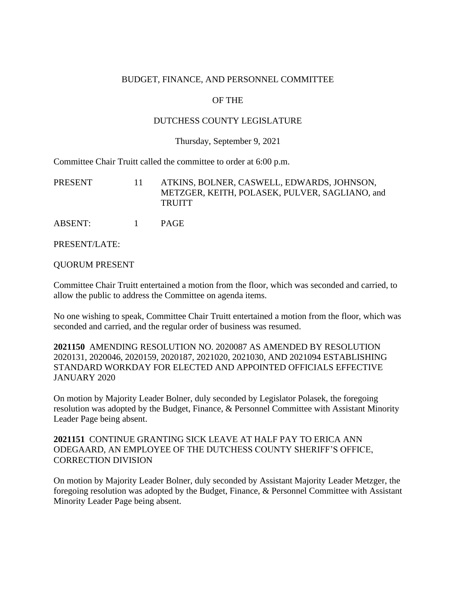### BUDGET, FINANCE, AND PERSONNEL COMMITTEE

## OF THE

### DUTCHESS COUNTY LEGISLATURE

#### Thursday, September 9, 2021

Committee Chair Truitt called the committee to order at 6:00 p.m.

| PRESENT | ATKINS, BOLNER, CASWELL, EDWARDS, JOHNSON,     |
|---------|------------------------------------------------|
|         | METZGER, KEITH, POLASEK, PULVER, SAGLIANO, and |
|         | <b>TRUITT</b>                                  |
|         |                                                |

ABSENT: 1 PAGE

PRESENT/LATE:

QUORUM PRESENT

Committee Chair Truitt entertained a motion from the floor, which was seconded and carried, to allow the public to address the Committee on agenda items.

No one wishing to speak, Committee Chair Truitt entertained a motion from the floor, which was seconded and carried, and the regular order of business was resumed.

**2021150** AMENDING RESOLUTION NO. 2020087 AS AMENDED BY RESOLUTION 2020131, 2020046, 2020159, 2020187, 2021020, 2021030, AND 2021094 ESTABLISHING STANDARD WORKDAY FOR ELECTED AND APPOINTED OFFICIALS EFFECTIVE JANUARY 2020

On motion by Majority Leader Bolner, duly seconded by Legislator Polasek, the foregoing resolution was adopted by the Budget, Finance, & Personnel Committee with Assistant Minority Leader Page being absent.

## **2021151** CONTINUE GRANTING SICK LEAVE AT HALF PAY TO ERICA ANN ODEGAARD, AN EMPLOYEE OF THE DUTCHESS COUNTY SHERIFF'S OFFICE, CORRECTION DIVISION

On motion by Majority Leader Bolner, duly seconded by Assistant Majority Leader Metzger, the foregoing resolution was adopted by the Budget, Finance, & Personnel Committee with Assistant Minority Leader Page being absent.